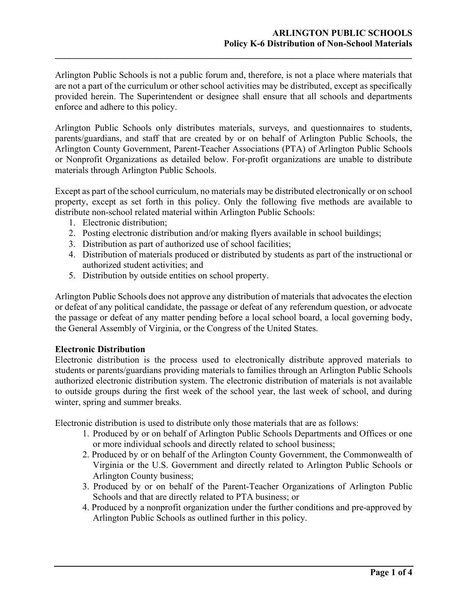Arlington Public Schools is not a public forum and, therefore, is not a place where materials that are not a part of the curriculum or other school activities may be distributed, except as specifically provided herein. The Superintendent or designee shall ensure that all schools and departments enforce and adhere to this policy.

 $\_$ 

Arlington Public Schools only distributes materials, surveys, and questionnaires to students, parents/guardians, and staff that are created by or on behalf of Arlington Public Schools, the Arlington County Government, Parent-Teacher Associations (PTA) of Arlington Public Schools or Nonprofit Organizations as detailed below. For-profit organizations are unable to distribute materials through Arlington Public Schools.

Except as part of the school curriculum, no materials may be distributed electronically or on school property, except as set forth in this policy. Only the following five methods are available to distribute non-school related material within Arlington Public Schools:

- 1. Electronic distribution;
- 2. Posting electronic distribution and/or making flyers available in school buildings;
- 3. Distribution as part of authorized use of school facilities;
- 4. Distribution of materials produced or distributed by students as part of the instructional or authorized student activities; and
- 5. Distribution by outside entities on school property.

Arlington Public Schools does not approve any distribution of materials that advocates the election or defeat of any political candidate, the passage or defeat of any referendum question, or advocate the passage or defeat of any matter pending before a local school board, a local governing body, the General Assembly of Virginia, or the Congress of the United States.

## Electronic Distribution

Electronic distribution is the process used to electronically distribute approved materials to students or parents/guardians providing materials to families through an Arlington Public Schools authorized electronic distribution system. The electronic distribution of materials is not available to outside groups during the first week of the school year, the last week of school, and during winter, spring and summer breaks.

Electronic distribution is used to distribute only those materials that are as follows:

- 1. Produced by or on behalf of Arlington Public Schools Departments and Offices or one or more individual schools and directly related to school business;
- 2. Produced by or on behalf of the Arlington County Government, the Commonwealth of Virginia or the U.S. Government and directly related to Arlington Public Schools or Arlington County business;
- 3. Produced by or on behalf of the Parent-Teacher Organizations of Arlington Public Schools and that are directly related to PTA business; or
- 4. Produced by a nonprofit organization under the further conditions and pre-approved by Arlington Public Schools as outlined further in this policy.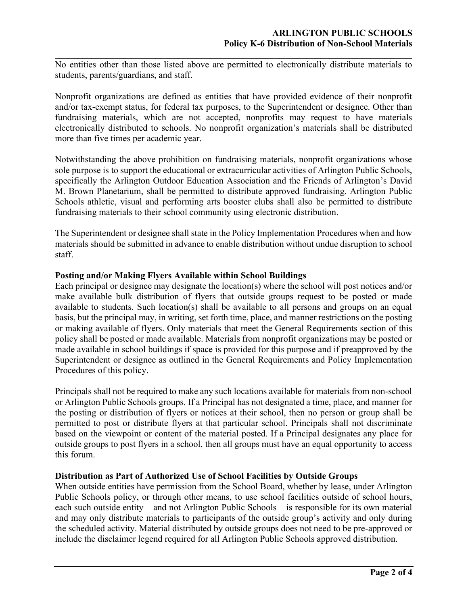$\_$ No entities other than those listed above are permitted to electronically distribute materials to students, parents/guardians, and staff.

Nonprofit organizations are defined as entities that have provided evidence of their nonprofit and/or tax-exempt status, for federal tax purposes, to the Superintendent or designee. Other than fundraising materials, which are not accepted, nonprofits may request to have materials electronically distributed to schools. No nonprofit organization's materials shall be distributed more than five times per academic year.

Notwithstanding the above prohibition on fundraising materials, nonprofit organizations whose sole purpose is to support the educational or extracurricular activities of Arlington Public Schools, specifically the Arlington Outdoor Education Association and the Friends of Arlington's David M. Brown Planetarium, shall be permitted to distribute approved fundraising. Arlington Public Schools athletic, visual and performing arts booster clubs shall also be permitted to distribute fundraising materials to their school community using electronic distribution.

The Superintendent or designee shall state in the Policy Implementation Procedures when and how materials should be submitted in advance to enable distribution without undue disruption to school staff.

## Posting and/or Making Flyers Available within School Buildings

Each principal or designee may designate the location(s) where the school will post notices and/or make available bulk distribution of flyers that outside groups request to be posted or made available to students. Such location(s) shall be available to all persons and groups on an equal basis, but the principal may, in writing, set forth time, place, and manner restrictions on the posting or making available of flyers. Only materials that meet the General Requirements section of this policy shall be posted or made available. Materials from nonprofit organizations may be posted or made available in school buildings if space is provided for this purpose and if preapproved by the Superintendent or designee as outlined in the General Requirements and Policy Implementation Procedures of this policy.

Principals shall not be required to make any such locations available for materials from non-school or Arlington Public Schools groups. If a Principal has not designated a time, place, and manner for the posting or distribution of flyers or notices at their school, then no person or group shall be permitted to post or distribute flyers at that particular school. Principals shall not discriminate based on the viewpoint or content of the material posted. If a Principal designates any place for outside groups to post flyers in a school, then all groups must have an equal opportunity to access this forum.

#### Distribution as Part of Authorized Use of School Facilities by Outside Groups

When outside entities have permission from the School Board, whether by lease, under Arlington Public Schools policy, or through other means, to use school facilities outside of school hours, each such outside entity – and not Arlington Public Schools – is responsible for its own material and may only distribute materials to participants of the outside group's activity and only during the scheduled activity. Material distributed by outside groups does not need to be pre-approved or include the disclaimer legend required for all Arlington Public Schools approved distribution.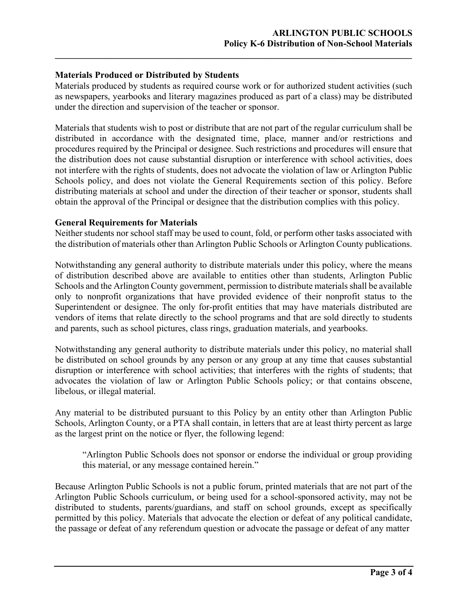# Materials Produced or Distributed by Students

Materials produced by students as required course work or for authorized student activities (such as newspapers, yearbooks and literary magazines produced as part of a class) may be distributed under the direction and supervision of the teacher or sponsor.

 $\_$ 

Materials that students wish to post or distribute that are not part of the regular curriculum shall be distributed in accordance with the designated time, place, manner and/or restrictions and procedures required by the Principal or designee. Such restrictions and procedures will ensure that the distribution does not cause substantial disruption or interference with school activities, does not interfere with the rights of students, does not advocate the violation of law or Arlington Public Schools policy, and does not violate the General Requirements section of this policy. Before distributing materials at school and under the direction of their teacher or sponsor, students shall obtain the approval of the Principal or designee that the distribution complies with this policy.

## General Requirements for Materials

Neither students nor school staff may be used to count, fold, or perform other tasks associated with the distribution of materials other than Arlington Public Schools or Arlington County publications.

Notwithstanding any general authority to distribute materials under this policy, where the means of distribution described above are available to entities other than students, Arlington Public Schools and the Arlington County government, permission to distribute materials shall be available only to nonprofit organizations that have provided evidence of their nonprofit status to the Superintendent or designee. The only for-profit entities that may have materials distributed are vendors of items that relate directly to the school programs and that are sold directly to students and parents, such as school pictures, class rings, graduation materials, and yearbooks.

Notwithstanding any general authority to distribute materials under this policy, no material shall be distributed on school grounds by any person or any group at any time that causes substantial disruption or interference with school activities; that interferes with the rights of students; that advocates the violation of law or Arlington Public Schools policy; or that contains obscene, libelous, or illegal material.

Any material to be distributed pursuant to this Policy by an entity other than Arlington Public Schools, Arlington County, or a PTA shall contain, in letters that are at least thirty percent as large as the largest print on the notice or flyer, the following legend:

"Arlington Public Schools does not sponsor or endorse the individual or group providing this material, or any message contained herein."

Because Arlington Public Schools is not a public forum, printed materials that are not part of the Arlington Public Schools curriculum, or being used for a school-sponsored activity, may not be distributed to students, parents/guardians, and staff on school grounds, except as specifically permitted by this policy. Materials that advocate the election or defeat of any political candidate, the passage or defeat of any referendum question or advocate the passage or defeat of any matter